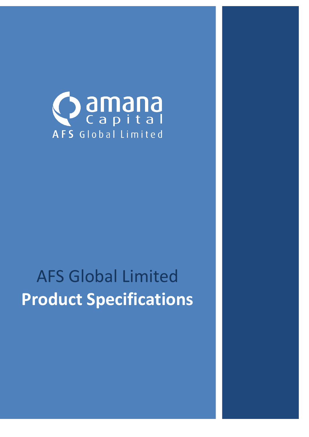

# AFS Global Limited **Product Specifications**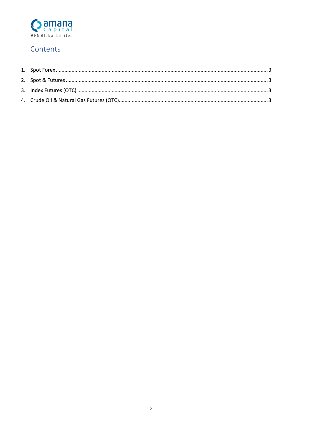

# Contents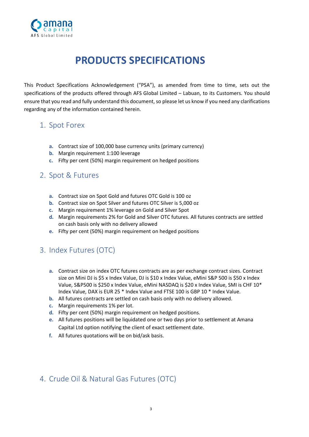

# **PRODUCTS SPECIFICATIONS**

This Product Specifications Acknowledgement ("PSA"), as amended from time to time, sets out the specifications of the products offered through AFS Global Limited – Labuan, to its Customers. You should ensure that you read and fully understand this document, so please let us know if you need any clarifications regarding any of the information contained herein.

# <span id="page-2-0"></span>1. Spot Forex

- **a.** Contract size of 100,000 base currency units (primary currency)
- **b.** Margin requirement 1:100 leverage
- **c.** Fifty per cent (50%) margin requirement on hedged positions

#### <span id="page-2-1"></span>2. Spot & Futures

- **a.** Contract size on Spot Gold and futures OTC Gold is 100 oz
- **b.** Contract size on Spot Silver and futures OTC Silver is 5,000 oz
- **c.** Margin requirement 1% leverage on Gold and Silver Spot
- **d.** Margin requirements 2% for Gold and Silver OTC futures. All futures contracts are settled on cash basis only with no delivery allowed
- **e.** Fifty per cent (50%) margin requirement on hedged positions

### <span id="page-2-2"></span>3. Index Futures (OTC)

- **a.** Contract size on index OTC futures contracts are as per exchange contract sizes. Contract size on Mini DJ is \$5 x Index Value, DJ is \$10 x Index Value, eMini S&P 500 is \$50 x Index Value, S&P500 is \$250 x Index Value, eMini NASDAQ is \$20 x Index Value, SMI is CHF 10\* Index Value, DAX is EUR 25 \* Index Value and FTSE 100 is GBP 10 \* Index Value.
- **b.** All futures contracts are settled on cash basis only with no delivery allowed.
- **c.** Margin requirements 1% per lot.
- **d.** Fifty per cent (50%) margin requirement on hedged positions.
- **e.** All futures positions will be liquidated one or two days prior to settlement at Amana Capital Ltd option notifying the client of exact settlement date.
- **f.** All futures quotations will be on bid/ask basis.

### <span id="page-2-3"></span>4. Crude Oil & Natural Gas Futures (OTC)